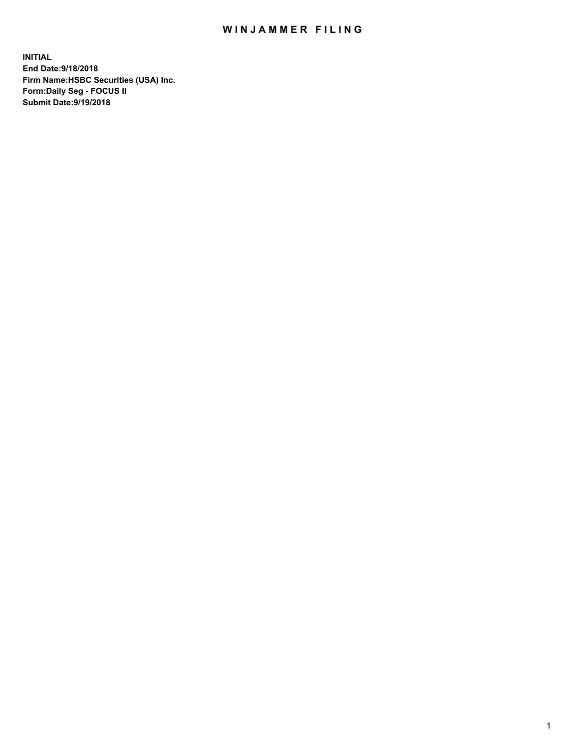## WIN JAMMER FILING

**INITIAL End Date:9/18/2018 Firm Name:HSBC Securities (USA) Inc. Form:Daily Seg - FOCUS II Submit Date:9/19/2018**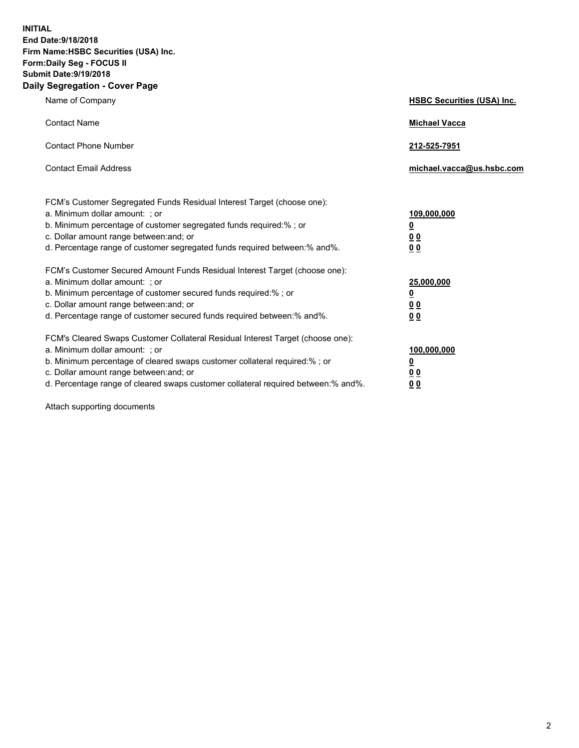**INITIAL End Date:9/18/2018 Firm Name:HSBC Securities (USA) Inc. Form:Daily Seg - FOCUS II Submit Date:9/19/2018 Daily Segregation - Cover Page**

| Name of Company                                                                                                                                                                                                                                                                                                                | <b>HSBC Securities (USA) Inc.</b>                                          |
|--------------------------------------------------------------------------------------------------------------------------------------------------------------------------------------------------------------------------------------------------------------------------------------------------------------------------------|----------------------------------------------------------------------------|
| <b>Contact Name</b>                                                                                                                                                                                                                                                                                                            | <b>Michael Vacca</b>                                                       |
| <b>Contact Phone Number</b>                                                                                                                                                                                                                                                                                                    | 212-525-7951                                                               |
| <b>Contact Email Address</b>                                                                                                                                                                                                                                                                                                   | michael.vacca@us.hsbc.com                                                  |
| FCM's Customer Segregated Funds Residual Interest Target (choose one):<br>a. Minimum dollar amount: : or<br>b. Minimum percentage of customer segregated funds required:% ; or<br>c. Dollar amount range between: and; or<br>d. Percentage range of customer segregated funds required between:% and%.                         | 109,000,000<br>$\overline{\mathbf{0}}$<br>0 <sub>0</sub><br>0 <sub>0</sub> |
| FCM's Customer Secured Amount Funds Residual Interest Target (choose one):<br>a. Minimum dollar amount: ; or<br>b. Minimum percentage of customer secured funds required:%; or<br>c. Dollar amount range between: and; or<br>d. Percentage range of customer secured funds required between:% and%.                            | 25,000,000<br>$\overline{\mathbf{0}}$<br>0 <sub>0</sub><br>0 <sub>0</sub>  |
| FCM's Cleared Swaps Customer Collateral Residual Interest Target (choose one):<br>a. Minimum dollar amount: ; or<br>b. Minimum percentage of cleared swaps customer collateral required:% ; or<br>c. Dollar amount range between: and; or<br>d. Percentage range of cleared swaps customer collateral required between:% and%. | 100,000,000<br>$\overline{\mathbf{0}}$<br>0 <sub>0</sub><br>0 <sub>0</sub> |

Attach supporting documents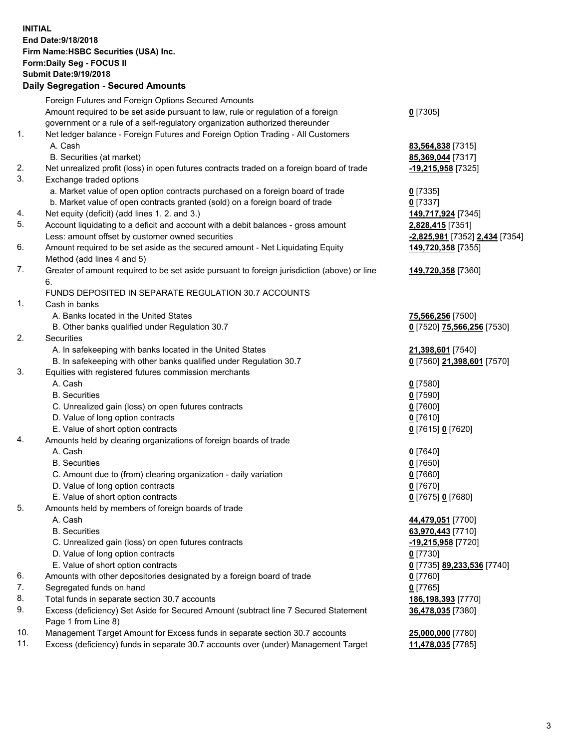**INITIAL End Date:9/18/2018 Firm Name:HSBC Securities (USA) Inc. Form:Daily Seg - FOCUS II Submit Date:9/19/2018 Daily Segregation - Secured Amounts** Foreign Futures and Foreign Options Secured Amounts Amount required to be set aside pursuant to law, rule or regulation of a foreign government or a rule of a self-regulatory organization authorized thereunder **0** [7305] 1. Net ledger balance - Foreign Futures and Foreign Option Trading - All Customers A. Cash **83,564,838** [7315] B. Securities (at market) **85,369,044** [7317] 2. Net unrealized profit (loss) in open futures contracts traded on a foreign board of trade **-19,215,958** [7325] 3. Exchange traded options a. Market value of open option contracts purchased on a foreign board of trade **0** [7335] b. Market value of open contracts granted (sold) on a foreign board of trade **0** [7337] 4. Net equity (deficit) (add lines 1. 2. and 3.) **149,717,924** [7345] 5. Account liquidating to a deficit and account with a debit balances - gross amount **2,828,415** [7351] Less: amount offset by customer owned securities **-2,825,981** [7352] **2,434** [7354] 6. Amount required to be set aside as the secured amount - Net Liquidating Equity Method (add lines 4 and 5) **149,720,358** [7355] 7. Greater of amount required to be set aside pursuant to foreign jurisdiction (above) or line 6. **149,720,358** [7360] FUNDS DEPOSITED IN SEPARATE REGULATION 30.7 ACCOUNTS 1. Cash in banks A. Banks located in the United States **75,566,256** [7500] B. Other banks qualified under Regulation 30.7 **0** [7520] **75,566,256** [7530] 2. Securities A. In safekeeping with banks located in the United States **21,398,601** [7540] B. In safekeeping with other banks qualified under Regulation 30.7 **0** [7560] **21,398,601** [7570] 3. Equities with registered futures commission merchants A. Cash **0** [7580] B. Securities **0** [7590] C. Unrealized gain (loss) on open futures contracts **0** [7600] D. Value of long option contracts **0** [7610] E. Value of short option contracts **0** [7615] **0** [7620] 4. Amounts held by clearing organizations of foreign boards of trade A. Cash **0** [7640] B. Securities **0** [7650] C. Amount due to (from) clearing organization - daily variation **0** [7660] D. Value of long option contracts **0** [7670] E. Value of short option contracts **0** [7675] **0** [7680] 5. Amounts held by members of foreign boards of trade A. Cash **44,479,051** [7700] B. Securities **63,970,443** [7710] C. Unrealized gain (loss) on open futures contracts **-19,215,958** [7720] D. Value of long option contracts **0** [7730] E. Value of short option contracts **0** [7735] **89,233,536** [7740] 6. Amounts with other depositories designated by a foreign board of trade **0** [7760] 7. Segregated funds on hand **0** [7765] 8. Total funds in separate section 30.7 accounts **186,198,393** [7770] 9. Excess (deficiency) Set Aside for Secured Amount (subtract line 7 Secured Statement Page 1 from Line 8) **36,478,035** [7380]

10. Management Target Amount for Excess funds in separate section 30.7 accounts **25,000,000** [7780]

11. Excess (deficiency) funds in separate 30.7 accounts over (under) Management Target **11,478,035** [7785]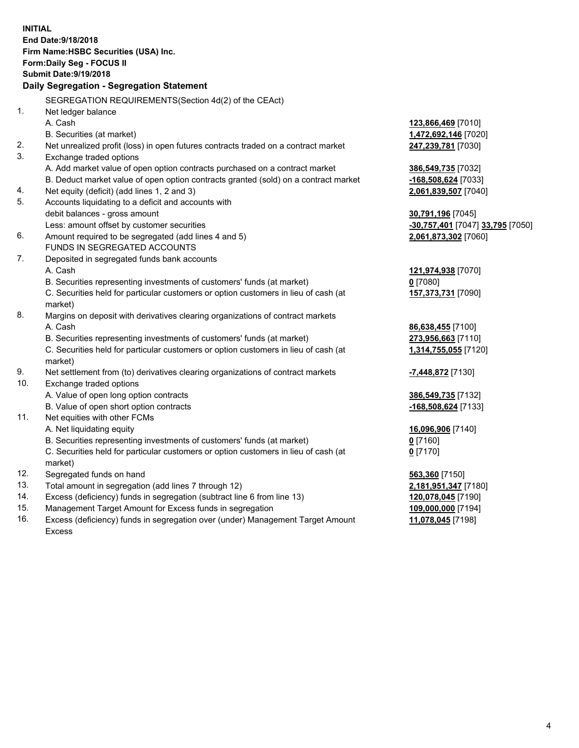**INITIAL End Date:9/18/2018 Firm Name:HSBC Securities (USA) Inc. Form:Daily Seg - FOCUS II Submit Date:9/19/2018 Daily Segregation - Segregation Statement** SEGREGATION REQUIREMENTS(Section 4d(2) of the CEAct) 1. Net ledger balance A. Cash **123,866,469** [7010] B. Securities (at market) **1,472,692,146** [7020] 2. Net unrealized profit (loss) in open futures contracts traded on a contract market **247,239,781** [7030] 3. Exchange traded options A. Add market value of open option contracts purchased on a contract market **386,549,735** [7032] B. Deduct market value of open option contracts granted (sold) on a contract market **-168,508,624** [7033] 4. Net equity (deficit) (add lines 1, 2 and 3) **2,061,839,507** [7040] 5. Accounts liquidating to a deficit and accounts with debit balances - gross amount **30,791,196** [7045] Less: amount offset by customer securities **-30,757,401** [7047] **33,795** [7050] 6. Amount required to be segregated (add lines 4 and 5) **2,061,873,302** [7060] FUNDS IN SEGREGATED ACCOUNTS 7. Deposited in segregated funds bank accounts A. Cash **121,974,938** [7070] B. Securities representing investments of customers' funds (at market) **0** [7080] C. Securities held for particular customers or option customers in lieu of cash (at market) **157,373,731** [7090] 8. Margins on deposit with derivatives clearing organizations of contract markets A. Cash **86,638,455** [7100] B. Securities representing investments of customers' funds (at market) **273,956,663** [7110] C. Securities held for particular customers or option customers in lieu of cash (at market) **1,314,755,055** [7120] 9. Net settlement from (to) derivatives clearing organizations of contract markets **-7,448,872** [7130] 10. Exchange traded options A. Value of open long option contracts **386,549,735** [7132] B. Value of open short option contracts **-168,508,624** [7133] 11. Net equities with other FCMs A. Net liquidating equity **16,096,906** [7140] B. Securities representing investments of customers' funds (at market) **0** [7160] C. Securities held for particular customers or option customers in lieu of cash (at market) **0** [7170] 12. Segregated funds on hand **563,360** [7150] 13. Total amount in segregation (add lines 7 through 12) **2,181,951,347** [7180] 14. Excess (deficiency) funds in segregation (subtract line 6 from line 13) **120,078,045** [7190] 15. Management Target Amount for Excess funds in segregation **109,000,000** [7194] 16. Excess (deficiency) funds in segregation over (under) Management Target Amount **11,078,045** [7198]

Excess